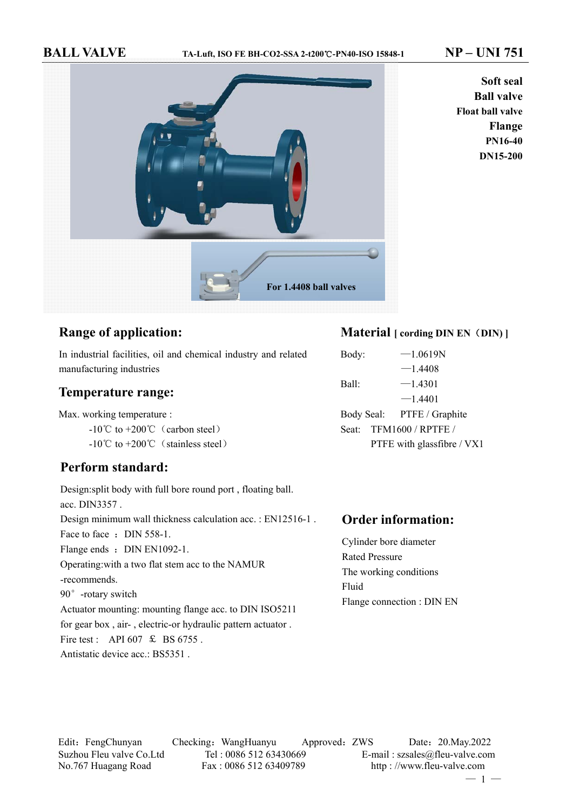**BALL VALVE TA-Luft, ISO FE BH-CO2-SSA 2-t200**℃**-PN40-ISO 15848-1 NP – UNI 751**



**Soft seal Ball valve Float ball valve Flange PN16-40 DN15-200**

# **Range of application:**

In industrial facilities, oil and chemical industry and related manufacturing industries

## **Temperature range:**

Max. working temperature :

 $-10^{\circ}$ C to  $+200^{\circ}$ C (carbon steel)

 $-10^{\circ}$ C to  $+200^{\circ}$ C (stainless steel)

## **Perform standard:**

Design:split body with full bore round port , floating ball. acc. DIN3357 . Design minimum wall thickness calculation acc. : EN12516-1 . Face to face : DIN 558-1. Flange ends : DIN EN1092-1. Operating:with a two flat stem acc to the NAMUR -recommends. 90°-rotary switch Actuator mounting: mounting flange acc. to DIN ISO5211 for gear box , air- , electric-or hydraulic pattern actuator . Fire test : API 607  $\&$  BS 6755. Antistatic device acc.: BS5351 .

# **Material** [ cording DIN EN (DIN) ]

Body:  $-1.0619N$  $-1.4408$ Ball:  $-1.4301$  $-1.4401$ Body Seal: PTFE / Graphite Seat: TFM1600 / RPTFE / PTFE with glassfibre / VX1

## **Order information:**

Cylinder bore diameter Rated Pressure The working conditions Fluid Flange connection : DIN EN

Edit:FengChunyan Checking:WangHuanyu Approved:ZWS Date:20.May.2022 Suzhou Fleu valve Co.Ltd Tel : 0086 512 63430669 E-mail : szsales@fleu-valve.com No.767 Huagang Road Fax : 0086 512 63409789 http : //www.fleu-valve.com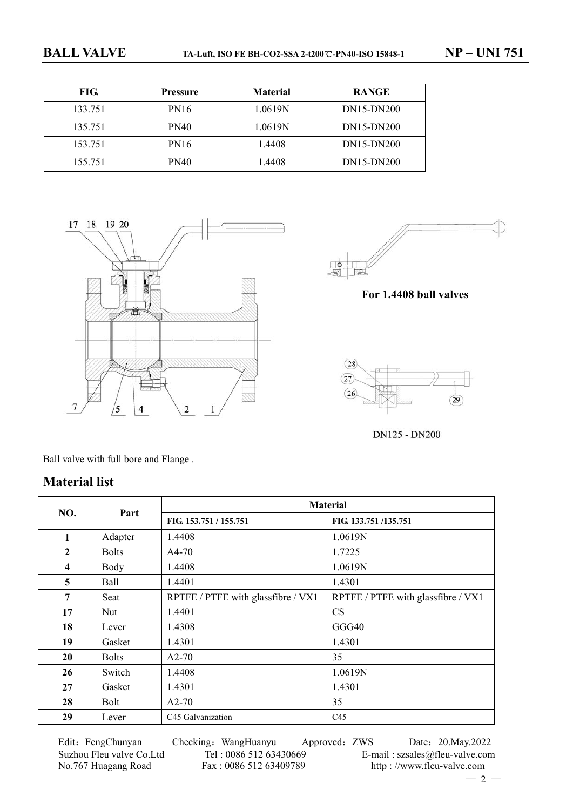| FIG.    | <b>Pressure</b> | <b>Material</b> | <b>RANGE</b> |
|---------|-----------------|-----------------|--------------|
| 133.751 | <b>PN16</b>     | 1.0619N         | DN15-DN200   |
| 135.751 | <b>PN40</b>     | 1.0619N         | DN15-DN200   |
| 153.751 | <b>PN16</b>     | 1.4408          | DN15-DN200   |
| 155.751 | PN40            | 1.4408          | DN15-DN200   |





**For 1.4408 ball valves** 



DN125 - DN200

Ball valve with full bore and Flange .

# **Material list**

| NO.                     | Part         |                                    | <b>Material</b>                    |
|-------------------------|--------------|------------------------------------|------------------------------------|
|                         |              | FIG. 153.751 / 155.751             | FIG. 133.751/135.751               |
| 1                       | Adapter      | 1.4408                             | 1.0619N                            |
| $\overline{2}$          | <b>Bolts</b> | $A4-70$                            | 1.7225                             |
| $\overline{\mathbf{4}}$ | Body         | 1.4408                             | 1.0619N                            |
| 5                       | Ball         | 1.4401                             | 1.4301                             |
| 7                       | Seat         | RPTFE / PTFE with glassfibre / VX1 | RPTFE / PTFE with glassfibre / VX1 |
| 17                      | Nut          | 1.4401                             | <b>CS</b>                          |
| 18                      | Lever        | 1.4308                             | GGG40                              |
| 19                      | Gasket       | 1.4301                             | 1.4301                             |
| 20                      | <b>Bolts</b> | $A2-70$                            | 35                                 |
| 26                      | Switch       | 1.4408                             | 1.0619N                            |
| 27                      | Gasket       | 1.4301                             | 1.4301                             |
| 28                      | <b>Bolt</b>  | $A2-70$                            | 35                                 |
| 29                      | Lever        | C45 Galvanization                  | C <sub>45</sub>                    |

Edit:FengChunyan Checking:WangHuanyu Approved:ZWS Date:20.May.2022 Suzhou Fleu valve Co.Ltd Tel : 0086 512 63430669 E-mail : szsales@fleu-valve.com<br>No.767 Huagang Road Fax : 0086 512 63409789 http : //www.fleu-valve.com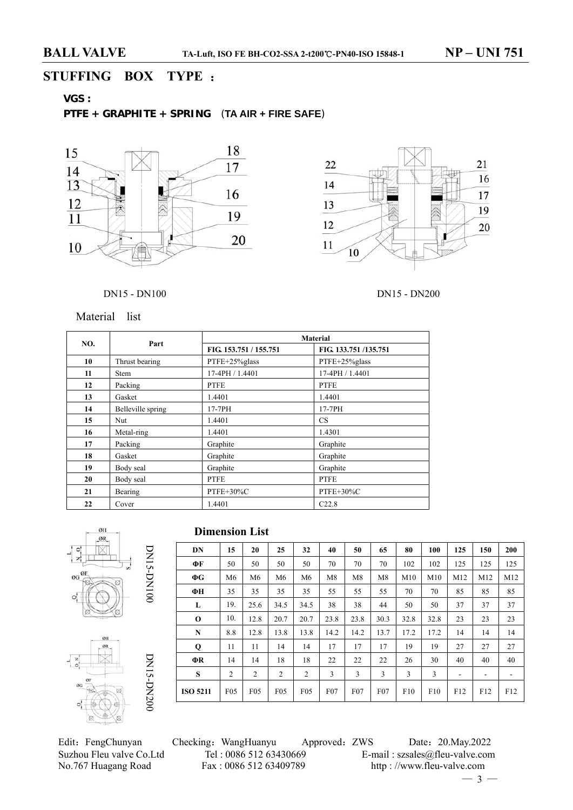# **STUFFING BOX TYPE** :

# **VGS :**

## **PTFE + GRAPHITE + SPRING** (**TA AIR + FIRE SAFE**)





## DN15 - DN100 DN15 - DN200

Material list

| NO. | Part              |                        | <b>Material</b>      |  |  |
|-----|-------------------|------------------------|----------------------|--|--|
|     |                   | FIG. 153.751 / 155.751 | FIG. 133.751/135.751 |  |  |
| 10  | Thrust bearing    | PTFE+25%glass          | PTFE+25%glass        |  |  |
| 11  | <b>Stem</b>       | 17-4PH / 1.4401        | 17-4PH / 1.4401      |  |  |
| 12  | Packing           | <b>PTFE</b>            | <b>PTFE</b>          |  |  |
| 13  | Gasket            | 1.4401                 | 1.4401               |  |  |
| 14  | Belleville spring | 17-7PH                 | 17-7PH               |  |  |
| 15  | Nut               | 1.4401                 | CS.                  |  |  |
| 16  | Metal-ring        | 1.4401                 | 1.4301               |  |  |
| 17  | Packing           | Graphite               | Graphite             |  |  |
| 18  | Gasket            | Graphite               | Graphite             |  |  |
| 19  | Body seal         | Graphite               | Graphite             |  |  |
| 20  | Body seal         | <b>PTFE</b>            | <b>PTFE</b>          |  |  |
| 21  | Bearing           | PTFE+30%C              | PTFE+30%C            |  |  |
| 22  | Cover             | 1.4401                 | C22.8                |  |  |





| <b>Dimension List</b> |  |
|-----------------------|--|
|-----------------------|--|

| ФF              |                 |                 |                 |                 |      |      | 65   | 80   | 100  | 125 | 150 | 200 |
|-----------------|-----------------|-----------------|-----------------|-----------------|------|------|------|------|------|-----|-----|-----|
|                 | 50              | 50              | 50              | 50              | 70   | 70   | 70   | 102  | 102  | 125 | 125 | 125 |
| $\Phi G$        | M <sub>6</sub>  | M6              | M <sub>6</sub>  | M <sub>6</sub>  | M8   | M8   | M8   | M10  | M10  | M12 | M12 | M12 |
| ФН              | 35              | 35              | 35              | 35              | 55   | 55   | 55   | 70   | 70   | 85  | 85  | 85  |
| L               | 19.             | 25.6            | 34.5            | 34.5            | 38   | 38   | 44   | 50   | 50   | 37  | 37  | 37  |
| $\bf{0}$        | 10.             | 12.8            | 20.7            | 20.7            | 23.8 | 23.8 | 30.3 | 32.8 | 32.8 | 23  | 23  | 23  |
| N               | 8.8             | 12.8            | 13.8            | 13.8            | 14.2 | 14.2 | 13.7 | 17.2 | 17.2 | 14  | 14  | 14  |
| $\mathbf Q$     | 11              | 11              | 14              | 14              | 17   | 17   | 17   | 19   | 19   | 27  | 27  | 27  |
| ΦR              | 14              | 14              | 18              | 18              | 22   | 22   | 22   | 26   | 30   | 40  | 40  | 40  |
| S               | $\overline{2}$  | $\overline{2}$  | 2               | $\overline{2}$  | 3    | 3    | 3    | 3    | 3    |     |     |     |
| <b>ISO 5211</b> | F <sub>05</sub> | F <sub>05</sub> | F <sub>05</sub> | F <sub>05</sub> | F07  | F07  | F07  | F10  | F10  | F12 | F12 | F12 |

Edit:FengChunyan Checking:WangHuanyu Approved:ZWS Date:20.May.2022 Suzhou Fleu valve Co.Ltd Tel : 0086 512 63430669 E-mail : szsales@fleu-valve.com<br>No.767 Huagang Road Fax : 0086 512 63409789 http : //www.fleu-valve.com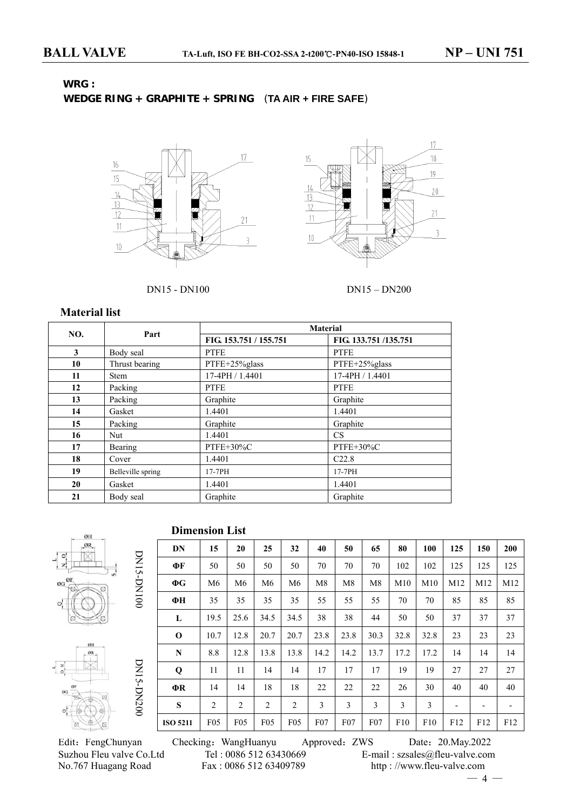# **WRG :**

# **WEDGE RING + GRAPHITE + SPRING** (**TA AIR + FIRE SAFE**)





### DN15 - DN100 DN15 – DN200

## **Material list**

|     |                   |                        | <b>Material</b>      |  |  |
|-----|-------------------|------------------------|----------------------|--|--|
| NO. | Part              | FIG. 153.751 / 155.751 | FIG. 133.751/135.751 |  |  |
| 3   | Body seal         | <b>PTFE</b>            | <b>PTFE</b>          |  |  |
| 10  | Thrust bearing    | PTFE+25%glass          | PTFE+25%glass        |  |  |
| 11  | <b>Stem</b>       | 17-4PH / 1.4401        | 17-4PH / 1.4401      |  |  |
| 12  | Packing           | <b>PTFE</b>            | <b>PTFE</b>          |  |  |
| 13  | Packing           | Graphite               | Graphite             |  |  |
| 14  | Gasket            | 1.4401                 | 1.4401               |  |  |
| 15  | Packing           | Graphite               | Graphite             |  |  |
| 16  | Nut               | 1.4401                 | <b>CS</b>            |  |  |
| 17  | Bearing           | $PTFE+30\%C$           | $PTFE+30\%C$         |  |  |
| 18  | Cover             | 1.4401                 | C22.8                |  |  |
| 19  | Belleville spring | 17-7PH                 | 17-7PH               |  |  |
| 20  | Gasket            | 1.4401                 | 1.4401               |  |  |
| 21  | Body seal         | Graphite               | Graphite             |  |  |

**Dimension List**







| ФF              | 50              | 50              | 50              | 50              | 70              | 70   | 70              | 102  | 102  | 125 | 125 | 125 |
|-----------------|-----------------|-----------------|-----------------|-----------------|-----------------|------|-----------------|------|------|-----|-----|-----|
| $\Phi G$        | M6              | M <sub>6</sub>  | M6              | M <sub>6</sub>  | M8              | M8   | M8              | M10  | M10  | M12 | M12 | M12 |
| ФН              | 35              | 35              | 35              | 35              | 55              | 55   | 55              | 70   | 70   | 85  | 85  | 85  |
| L               | 19.5            | 25.6            | 34.5            | 34.5            | 38              | 38   | 44              | 50   | 50   | 37  | 37  | 37  |
| $\mathbf 0$     | 10.7            | 12.8            | 20.7            | 20.7            | 23.8            | 23.8 | 30.3            | 32.8 | 32.8 | 23  | 23  | 23  |
| N               | 8.8             | 12.8            | 13.8            | 13.8            | 14.2            | 14.2 | 13.7            | 17.2 | 17.2 | 14  | 14  | 14  |
| Q               | 11              | 11              | 14              | 14              | 17              | 17   | 17              | 19   | 19   | 27  | 27  | 27  |
| ФR              | 14              | 14              | 18              | 18              | 22              | 22   | 22              | 26   | 30   | 40  | 40  | 40  |
| S               | 2               | $\overline{2}$  | 2               | $\overline{2}$  | 3               | 3    | 3               | 3    | 3    |     | -   |     |
| <b>ISO 5211</b> | F <sub>05</sub> | F <sub>05</sub> | F <sub>05</sub> | F <sub>05</sub> | F <sub>07</sub> | F07  | F <sub>07</sub> | F10  | F10  | F12 | F12 | F12 |

**DN 15 20 25 32 40 50 65 80 100 125 150 200**

DN15-DN100 DN15-DN200

DN15-DN200

DNIS-DNI00

Edit:FengChunyan Checking:WangHuanyu Approved:ZWS Date:20.May.2022 Suzhou Fleu valve Co.Ltd Tel : 0086 512 63430669 E-mail : szsales@fleu-valve.com<br>No.767 Huagang Road Fax : 0086 512 63409789 http : //www.fleu-valve.com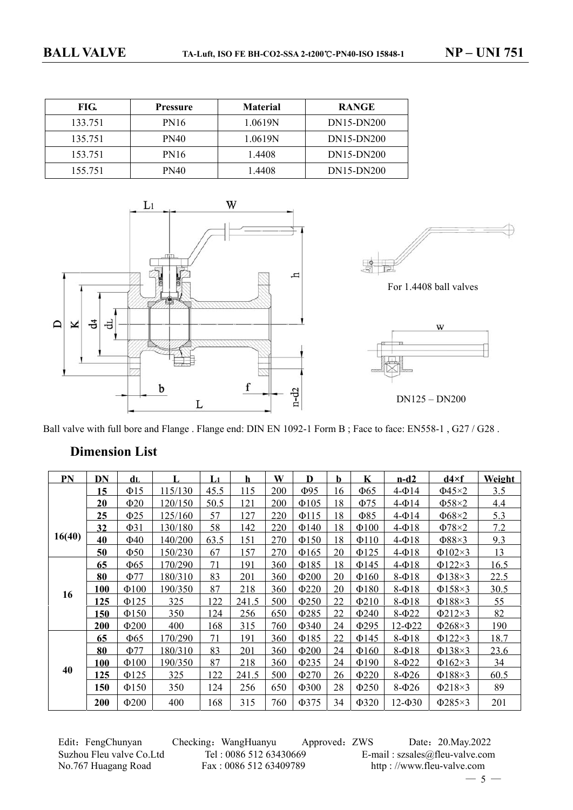| FIG.    | <b>Pressure</b> | <b>Material</b> | <b>RANGE</b> |
|---------|-----------------|-----------------|--------------|
| 133.751 | PN16            | 1.0619N         | DN15-DN200   |
| 135.751 | <b>PN40</b>     | 1.0619N         | DN15-DN200   |
| 153.751 | <b>PN16</b>     | 1.4408          | DN15-DN200   |
| 155.751 | <b>PN40</b>     | 1.4408          | DN15-DN200   |



Ball valve with full bore and Flange . Flange end: DIN EN 1092-1 Form B; Face to face: EN558-1, G27/G28.

## **Dimension List**

| PN     | DN         | dL         |         | L <sub>1</sub> | h     | W   | D          | b  | K          | $n-d2$         | $d4\times f$ | Weight |
|--------|------------|------------|---------|----------------|-------|-----|------------|----|------------|----------------|--------------|--------|
|        | 15         | $\Phi$ 15  | 115/130 | 45.5           | 115   | 200 | $\Phi$ 95  | 16 | $\Phi$ 65  | $4-014$        | $\Phi$ 45×2  | 3.5    |
|        | 20         | $\Phi$ 20  | 120/150 | 50.5           | 121   | 200 | $\Phi$ 105 | 18 | $\Phi$ 75  | $4-\Phi$ 14    | $\Phi$ 58×2  | 4.4    |
|        | 25         | $\Phi$ 25  | 125/160 | 57             | 127   | 220 | $\Phi$ 115 | 18 | Ф85        | $4-014$        | $\Phi$ 68×2  | 5.3    |
|        | 32         | $\Phi$ 31  | 130/180 | 58             | 142   | 220 | $\Phi$ 140 | 18 | $\Phi$ 100 | $4-\Phi$ 18    | $\Phi$ 78×2  | 7.2    |
| 16(40) | 40         | $\Phi$ 40  | 140/200 | 63.5           | 151   | 270 | $\Phi$ 150 | 18 | $\Phi$ 110 | $4-\Phi$ 18    | $\Phi$ 88×3  | 9.3    |
|        | 50         | $\Phi$ 50  | 150/230 | 67             | 157   | 270 | $\Phi$ 165 | 20 | $\Phi$ 125 | $4-\Phi$ 18    | $\Phi$ 102×3 | 13     |
|        | 65         | $\Phi$ 65  | 170/290 | 71             | 191   | 360 | $\Phi$ 185 | 18 | $\Phi$ 145 | $4-\Phi$ 18    | $\Phi$ 122×3 | 16.5   |
|        | 80         | $\Phi$ 77  | 180/310 | 83             | 201   | 360 | $\Phi$ 200 | 20 | $\Phi$ 160 | $8-018$        | $\Phi$ 138×3 | 22.5   |
|        | 100        | $\Phi$ 100 | 190/350 | 87             | 218   | 360 | $\Phi$ 220 | 20 | $\Phi$ 180 | 8-Ф18          | $\Phi$ 158×3 | 30.5   |
| 16     | 125        | $\Phi$ 125 | 325     | 122            | 241.5 | 500 | $\Phi$ 250 | 22 | $\Phi$ 210 | $8-018$        | $\Phi$ 188×3 | 55     |
|        | 150        | $\Phi$ 150 | 350     | 124            | 256   | 650 | Φ285       | 22 | $\Phi$ 240 | $8-\Phi22$     | $\Phi$ 212×3 | 82     |
|        | <b>200</b> | $\Phi$ 200 | 400     | 168            | 315   | 760 | Ф340       | 24 | $\Phi$ 295 | $12 - 022$     | $\Phi$ 268×3 | 190    |
|        | 65         | $\Phi$ 65  | 170/290 | 71             | 191   | 360 | $\Phi$ 185 | 22 | $\Phi$ 145 | $8-018$        | $\Phi$ 122×3 | 18.7   |
|        | 80         | Ф77        | 180/310 | 83             | 201   | 360 | $\Phi$ 200 | 24 | $\Phi$ 160 | $8-018$        | $\Phi$ 138×3 | 23.6   |
|        | 100        | $\Phi$ 100 | 190/350 | 87             | 218   | 360 | $\Phi$ 235 | 24 | $\Phi$ 190 | $8-022$        | $\Phi$ 162×3 | 34     |
| 40     | 125        | $\Phi$ 125 | 325     | 122            | 241.5 | 500 | $\Phi$ 270 | 26 | $\Phi$ 220 | $8-026$        | $\Phi$ 188×3 | 60.5   |
|        | 150        | $\Phi$ 150 | 350     | 124            | 256   | 650 | $\Phi$ 300 | 28 | $\Phi$ 250 | 8-Ф26          | $\Phi$ 218×3 | 89     |
|        | <b>200</b> | $\Phi$ 200 | 400     | 168            | 315   | 760 | $\Phi$ 375 | 34 | $\Phi$ 320 | $12 - \Phi 30$ | $\Phi$ 285×3 | 201    |

Edit: FengChunyan Checking: WangHuanyu Approved: ZWS Date: 20.May.2022 Suzhou Fleu valve Co.Ltd Tel : 0086 512 63430669 E-mail : szsales@fleu-valve.com<br>No.767 Huagang Road Fax : 0086 512 63409789 http : //www.fleu-valve.com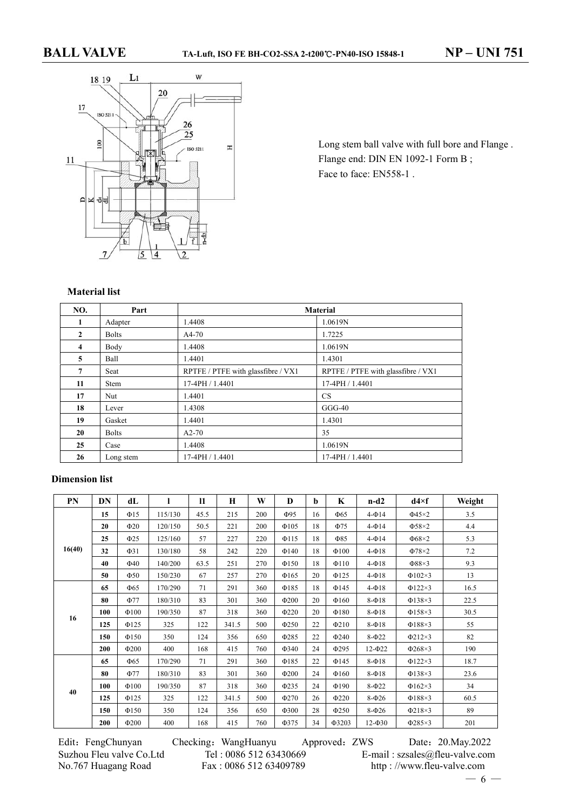

Long stem ball valve with full bore and Flange . Flange end: DIN EN 1092-1 Form B; Face to face: EN558-1.

## **Material list**

| NO.                     | Part         |                                    | <b>Material</b>                    |
|-------------------------|--------------|------------------------------------|------------------------------------|
| $\mathbf{1}$            | Adapter      | 1.4408                             | 1.0619N                            |
| $\mathbf{2}$            | <b>Bolts</b> | $A4-70$                            | 1.7225                             |
| $\overline{\mathbf{4}}$ | Body         | 1.4408                             | 1.0619N                            |
| 5                       | Ball         | 1.4401                             | 1.4301                             |
| 7                       | Seat         | RPTFE / PTFE with glassfibre / VX1 | RPTFE / PTFE with glassfibre / VX1 |
| 11                      | Stem         | 17-4PH / 1.4401                    | 17-4PH / 1.4401                    |
| 17                      | Nut          | 1.4401                             | <b>CS</b>                          |
| 18                      | Lever        | 1.4308                             | $GGG-40$                           |
| 19                      | Gasket       | 1.4401                             | 1.4301                             |
| 20                      | <b>Bolts</b> | $A2-70$                            | 35                                 |
| 25                      | Case         | 1.4408                             | 1.0619N                            |
| 26                      | Long stem    | 17-4PH / 1.4401                    | 17-4PH / 1.4401                    |

## **Dimension list**

| PN     | DN  | dL         | ı       | $\mathbf{11}$ | H     | W   | D          | b  | K          | $n-d2$      | $d4\times f$ | Weight |
|--------|-----|------------|---------|---------------|-------|-----|------------|----|------------|-------------|--------------|--------|
|        | 15  | $\Phi$ 15  | 115/130 | 45.5          | 215   | 200 | $\Phi$ 95  | 16 | $\Phi$ 65  | $4-\Phi$ 14 | $\Phi$ 45×2  | 3.5    |
|        | 20  | $\Phi$ 20  | 120/150 | 50.5          | 221   | 200 | $\Phi$ 105 | 18 | $\Phi$ 75  | $4-\Phi$ 14 | $\Phi$ 58×2  | 4.4    |
|        | 25  | $\Phi$ 25  | 125/160 | 57            | 227   | 220 | $\Phi$ 115 | 18 | $\Phi$ 85  | $4-\Phi$ 14 | $\Phi$ 68×2  | 5.3    |
| 16(40) | 32  | $\Phi$ 31  | 130/180 | 58            | 242   | 220 | $\Phi$ 140 | 18 | $\Phi$ 100 | $4-\Phi$ 18 | $\Phi$ 78×2  | 7.2    |
|        | 40  | $\Phi$ 40  | 140/200 | 63.5          | 251   | 270 | $\Phi$ 150 | 18 | $\Phi$ 110 | $4-\Phi$ 18 | $\Phi$ 88×3  | 9.3    |
|        | 50  | $\Phi$ 50  | 150/230 | 67            | 257   | 270 | $\Phi$ 165 | 20 | $\Phi$ 125 | $4-\Phi$ 18 | $\Phi$ 102×3 | 13     |
|        | 65  | $\Phi$ 65  | 170/290 | 71            | 291   | 360 | $\Phi$ 185 | 18 | $\Phi$ 145 | $4-\Phi$ 18 | $\Phi$ 122×3 | 16.5   |
|        | 80  | $\Phi$ 77  | 180/310 | 83            | 301   | 360 | $\Phi$ 200 | 20 | $\Phi$ 160 | $8-018$     | $\Phi$ 138×3 | 22.5   |
|        | 100 | $\Phi$ 100 | 190/350 | 87            | 318   | 360 | $\Phi$ 220 | 20 | $\Phi$ 180 | $8-018$     | $\Phi$ 158×3 | 30.5   |
| 16     | 125 | $\Phi$ 125 | 325     | 122           | 341.5 | 500 | $\Phi$ 250 | 22 | $\Phi$ 210 | $8-018$     | $\Phi$ 188×3 | 55     |
|        | 150 | $\Phi$ 150 | 350     | 124           | 356   | 650 | $\Phi$ 285 | 22 | $\Phi$ 240 | $8 - 022$   | $\Phi$ 212×3 | 82     |
|        | 200 | $\Phi$ 200 | 400     | 168           | 415   | 760 | $\Phi$ 340 | 24 | $\Phi$ 295 | $12 - 022$  | $\Phi$ 268×3 | 190    |
|        | 65  | $\Phi$ 65  | 170/290 | 71            | 291   | 360 | $\Phi$ 185 | 22 | $\Phi$ 145 | $8-018$     | $\Phi$ 122×3 | 18.7   |
|        | 80  | $\Phi$ 77  | 180/310 | 83            | 301   | 360 | $\Phi$ 200 | 24 | $\Phi$ 160 | $8-018$     | $\Phi$ 138×3 | 23.6   |
|        | 100 | $\Phi$ 100 | 190/350 | 87            | 318   | 360 | $\Phi$ 235 | 24 | $\Phi$ 190 | $8 - 022$   | $\Phi$ 162×3 | 34     |
| 40     | 125 | $\Phi$ 125 | 325     | 122           | 341.5 | 500 | $\Phi$ 270 | 26 | $\Phi$ 220 | $8-026$     | $\Phi$ 188×3 | 60.5   |
|        | 150 | $\Phi$ 150 | 350     | 124           | 356   | 650 | $\Phi$ 300 | 28 | $\Phi$ 250 | $8-026$     | $\Phi$ 218×3 | 89     |
|        | 200 | $\Phi$ 200 | 400     | 168           | 415   | 760 | $\Phi$ 375 | 34 | Ф3203      | $12 - 030$  | $\Phi$ 285×3 | 201    |

Edit:FengChunyan Checking:WangHuanyu Approved:ZWS Date:20.May.2022 Suzhou Fleu valve Co.Ltd Tel : 0086 512 63430669 E-mail : szsales@fleu-valve.com<br>No.767 Huagang Road Fax : 0086 512 63409789 http : //www.fleu-valve.com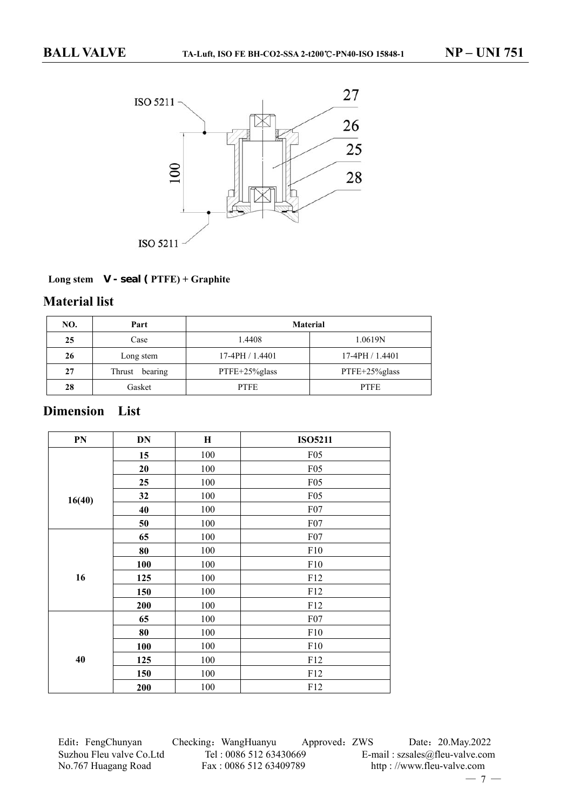

## **Long stem V - seal ( PTFE) + Graphite**

## **Material list**

| NO. | Part              | <b>Material</b> |                 |  |  |  |  |
|-----|-------------------|-----------------|-----------------|--|--|--|--|
| 25  | Case              | 1.4408          | 1.0619N         |  |  |  |  |
| 26  | Long stem         | $17-4PH/1.4401$ | $17-4PH/1.4401$ |  |  |  |  |
| 27  | Thrust<br>bearing | PTFE+25%glass   | PTFE+25%glass   |  |  |  |  |
| 28  | Gasket            | <b>PTFE</b>     | <b>PTFE</b>     |  |  |  |  |

# **Dimension List**

| PN     | DN  | $\mathbf H$ | <b>ISO5211</b> |
|--------|-----|-------------|----------------|
|        | 15  | 100         | F05            |
|        | 20  | 100         | F05            |
|        | 25  | 100         | F05            |
| 16(40) | 32  | 100         | F05            |
|        | 40  | 100         | F07            |
|        | 50  | 100         | F07            |
|        | 65  | 100         | F07            |
|        | 80  | 100         | F10            |
|        | 100 | 100         | F10            |
| 16     | 125 | 100         | F12            |
|        | 150 | 100         | F12            |
|        | 200 | 100         | F12            |
|        | 65  | 100         | F07            |
|        | 80  | 100         | F10            |
|        | 100 | 100         | F10            |
| 40     | 125 | 100         | F12            |
|        | 150 | 100         | F12            |
|        | 200 | 100         | F12            |

Edit: FengChunyan Checking: WangHuanyu Approved: ZWS Date: 20.May.2022 Suzhou Fleu valve Co.Ltd Tel : 0086 512 63430669 E-mail : szsales@fleu-valve.com<br>No.767 Huagang Road Fax : 0086 512 63409789 http : //www.fleu-valve.com